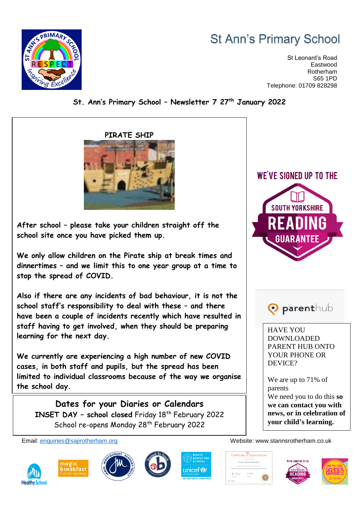## **St Ann's Primary School**

St Leonard's Road Eastwood Rotherham S65 1PD Telephone: 01709 828298



## **St. Ann's Primary School – Newsletter 7 27th January 2022**

**After school – please take your children straight off the school site once you have picked them up.**

**We only allow children on the Pirate ship at break times and dinnertimes – and we limit this to one year group at a time to stop the spread of COVID.**

**PIRATE SHIP**

**Also if there are any incidents of bad behaviour, it is not the school staff's responsibility to deal with these – and there have been a couple of incidents recently which have resulted in staff having to get involved, when they should be preparing learning for the next day.**

**We currently are experiencing a high number of new COVID cases, in both staff and pupils, but the spread has been limited to individual classrooms because of the way we organise the school day.**

**Dates for your Diaries or Calendars INSET DAY – school closed** Friday 18th February 2022 School re-opens Monday 28<sup>th</sup> February 2022











WE'VE SIGNED UP TO THE



**O** parenthub

HAVE YOU DOWNLOADED PARENT HUB ONTO YOUR PHONE OR DEVICE?

We are up to 71% of parents We need you to do this **so we can contact you with news, or in celebration of your child's learning.**

Email: [enquiries@sajirotherham.org](mailto:enquiries@sajirotherham.org) Website: www.stannsrotherham.co.uk